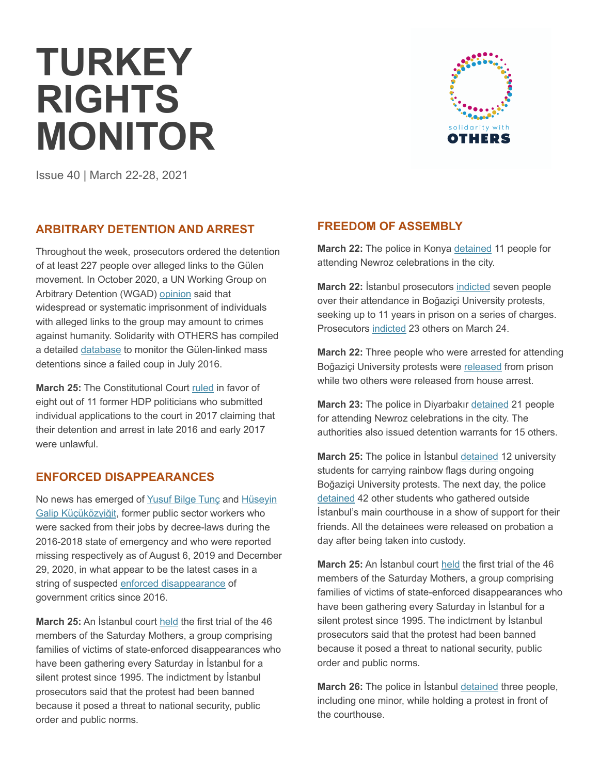# **TURKEY RIGHTS MONITOR**



Issue 40 | March 22-28, 2021

# **ARBITRARY DETENTION AND ARREST**

Throughout the week, prosecutors ordered the detention of at least 227 people over alleged links to the Gülen movement. In October 2020, a UN Working Group on Arbitrary Detention (WGAD) opinion said that widespread or systematic imprisonment of individuals with alleged links to the group may amount to crimes against humanity. Solidarity with OTHERS has compiled a detailed database to monitor the Gülen-linked mass detentions since a failed coup in July 2016.

**March 25:** The Constitutional Court ruled in favor of eight out of 11 former HDP politicians who submitted individual applications to the court in 2017 claiming that their detention and arrest in late 2016 and early 2017 were unlawful.

## **ENFORCED DISAPPEARANCES**

No news has emerged of Yusuf Bilge Tunc and Hüseyin Galip Küçüközyiğit, former public sector workers who were sacked from their jobs by decree-laws during the 2016-2018 state of emergency and who were reported missing respectively as of August 6, 2019 and December 29, 2020, in what appear to be the latest cases in a string of suspected enforced disappearance of government critics since 2016.

**March 25:** An İstanbul court held the first trial of the 46 members of the Saturday Mothers, a group comprising families of victims of state-enforced disappearances who have been gathering every Saturday in İstanbul for a silent protest since 1995. The indictment by İstanbul prosecutors said that the protest had been banned because it posed a threat to national security, public order and public norms.

# **FREEDOM OF ASSEMBLY**

**March 22:** The police in Konya detained 11 people for attending Newroz celebrations in the city.

**March 22:** İstanbul prosecutors indicted seven people over their attendance in Boğaziçi University protests, seeking up to 11 years in prison on a series of charges. Prosecutors indicted 23 others on March 24.

**March 22:** Three people who were arrested for attending Boğaziçi University protests were released from prison while two others were released from house arrest.

**March 23:** The police in Diyarbakır detained 21 people for attending Newroz celebrations in the city. The authorities also issued detention warrants for 15 others.

**March 25:** The police in İstanbul detained 12 university students for carrying rainbow flags during ongoing Boğaziçi University protests. The next day, the police detained 42 other students who gathered outside İstanbul's main courthouse in a show of support for their friends. All the detainees were released on probation a day after being taken into custody.

**March 25:** An İstanbul court held the first trial of the 46 members of the Saturday Mothers, a group comprising families of victims of state-enforced disappearances who have been gathering every Saturday in İstanbul for a silent protest since 1995. The indictment by İstanbul prosecutors said that the protest had been banned because it posed a threat to national security, public order and public norms.

**March 26:** The police in İstanbul detained three people, including one minor, while holding a protest in front of the courthouse.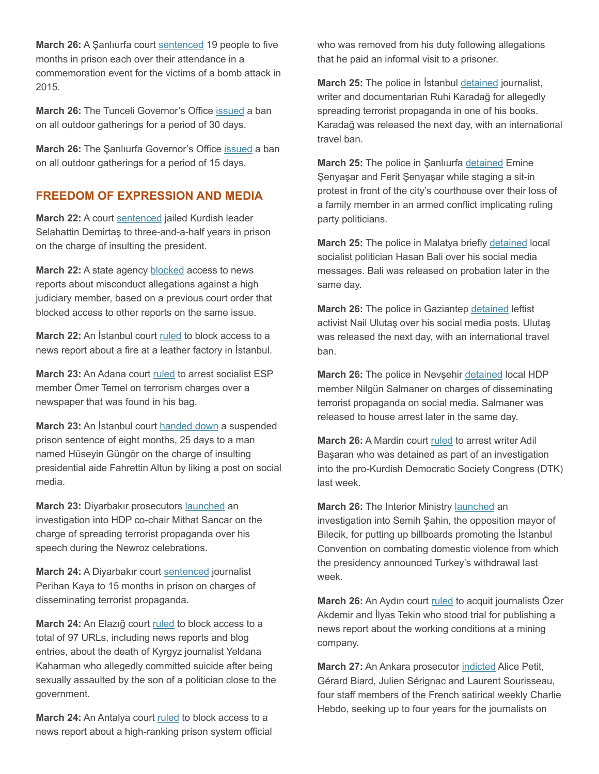**March 26:** A Şanlıurfa court sentenced 19 people to five months in prison each over their attendance in a commemoration event for the victims of a bomb attack in 2015.

**March 26:** The Tunceli Governor's Office issued a ban on all outdoor gatherings for a period of 30 days.

**March 26:** The Şanlıurfa Governor's Office issued a ban on all outdoor gatherings for a period of 15 days.

#### **FREEDOM OF EXPRESSION AND MEDIA**

**March 22:** A court sentenced jailed Kurdish leader Selahattin Demirtaş to three-and-a-half years in prison on the charge of insulting the president.

**March 22:** A state agency blocked access to news reports about misconduct allegations against a high judiciary member, based on a previous court order that blocked access to other reports on the same issue.

**March 22:** An İstanbul court ruled to block access to a news report about a fire at a leather factory in İstanbul.

**March 23:** An Adana court ruled to arrest socialist ESP member Ömer Temel on terrorism charges over a newspaper that was found in his bag.

**March 23:** An İstanbul court handed down a suspended prison sentence of eight months, 25 days to a man named Hüseyin Güngör on the charge of insulting presidential aide Fahrettin Altun by liking a post on social media.

**March 23:** Diyarbakır prosecutors launched an investigation into HDP co-chair Mithat Sancar on the charge of spreading terrorist propaganda over his speech during the Newroz celebrations.

**March 24:** A Diyarbakır court sentenced journalist Perihan Kaya to 15 months in prison on charges of disseminating terrorist propaganda.

**March 24:** An Elazığ court ruled to block access to a total of 97 URLs, including news reports and blog entries, about the death of Kyrgyz journalist Yeldana Kaharman who allegedly committed suicide after being sexually assaulted by the son of a politician close to the government.

**March 24:** An Antalya court ruled to block access to a news report about a high-ranking prison system official who was removed from his duty following allegations that he paid an informal visit to a prisoner.

**March 25:** The police in İstanbul detained journalist, writer and documentarian Ruhi Karadağ for allegedly spreading terrorist propaganda in one of his books. Karadağ was released the next day, with an international travel ban.

**March 25:** The police in Şanlıurfa detained Emine Şenyaşar and Ferit Şenyaşar while staging a sit-in protest in front of the city's courthouse over their loss of a family member in an armed conflict implicating ruling party politicians.

**March 25:** The police in Malatya briefly detained local socialist politician Hasan Bali over his social media messages. Bali was released on probation later in the same day.

**March 26:** The police in Gaziantep detained leftist activist Nail Ulutaş over his social media posts. Ulutaş was released the next day, with an international travel ban.

**March 26:** The police in Nevşehir detained local HDP member Nilgün Salmaner on charges of disseminating terrorist propaganda on social media. Salmaner was released to house arrest later in the same day.

**March 26:** A Mardin court ruled to arrest writer Adil Başaran who was detained as part of an investigation into the pro-Kurdish Democratic Society Congress (DTK) last week.

**March 26:** The Interior Ministry launched an investigation into Semih Şahin, the opposition mayor of Bilecik, for putting up billboards promoting the İstanbul Convention on combating domestic violence from which the presidency announced Turkey's withdrawal last week.

**March 26:** An Aydın court ruled to acquit journalists Özer Akdemir and İlyas Tekin who stood trial for publishing a news report about the working conditions at a mining company.

**March 27:** An Ankara prosecutor indicted Alice Petit, Gérard Biard, Julien Sérignac and Laurent Sourisseau, four staff members of the French satirical weekly Charlie Hebdo, seeking up to four years for the journalists on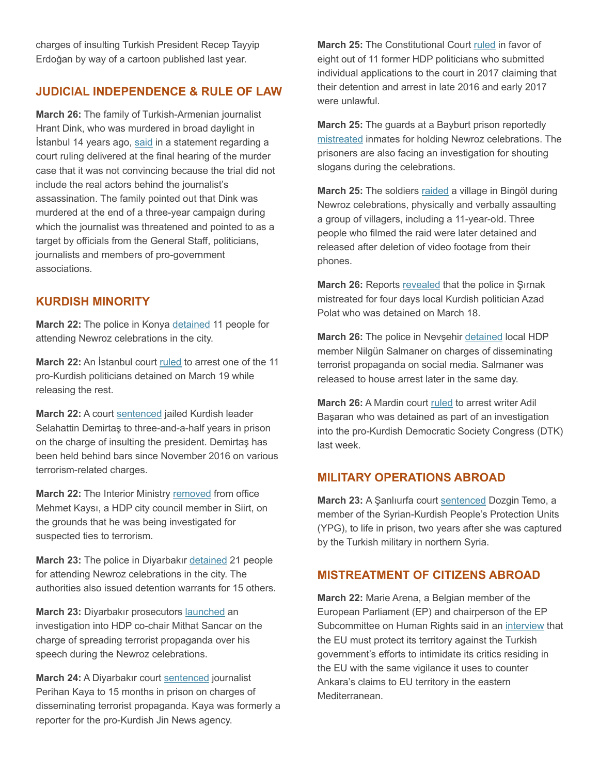charges of insulting Turkish President Recep Tayyip Erdoğan by way of a cartoon published last year.

### **JUDICIAL INDEPENDENCE & RULE OF LAW**

**March 26:** The family of Turkish-Armenian journalist Hrant Dink, who was murdered in broad daylight in İstanbul 14 years ago, said in a statement regarding a court ruling delivered at the final hearing of the murder case that it was not convincing because the trial did not include the real actors behind the journalist's assassination. The family pointed out that Dink was murdered at the end of a three-year campaign during which the journalist was threatened and pointed to as a target by officials from the General Staff, politicians, journalists and members of pro-government associations.

## **KURDISH MINORITY**

**March 22:** The police in Konya detained 11 people for attending Newroz celebrations in the city.

**March 22:** An İstanbul court ruled to arrest one of the 11 pro-Kurdish politicians detained on March 19 while releasing the rest.

March 22: A court sentenced jailed Kurdish leader Selahattin Demirtaş to three-and-a-half years in prison on the charge of insulting the president. Demirtaş has been held behind bars since November 2016 on various terrorism-related charges.

**March 22:** The Interior Ministry removed from office Mehmet Kaysı, a HDP city council member in Siirt, on the grounds that he was being investigated for suspected ties to terrorism.

**March 23:** The police in Diyarbakır detained 21 people for attending Newroz celebrations in the city. The authorities also issued detention warrants for 15 others.

**March 23:** Diyarbakır prosecutors launched an investigation into HDP co-chair Mithat Sancar on the charge of spreading terrorist propaganda over his speech during the Newroz celebrations.

**March 24:** A Diyarbakır court sentenced journalist Perihan Kaya to 15 months in prison on charges of disseminating terrorist propaganda. Kaya was formerly a reporter for the pro-Kurdish Jin News agency.

**March 25:** The Constitutional Court ruled in favor of eight out of 11 former HDP politicians who submitted individual applications to the court in 2017 claiming that their detention and arrest in late 2016 and early 2017 were unlawful.

**March 25:** The guards at a Bayburt prison reportedly mistreated inmates for holding Newroz celebrations. The prisoners are also facing an investigation for shouting slogans during the celebrations.

**March 25:** The soldiers raided a village in Bingöl during Newroz celebrations, physically and verbally assaulting a group of villagers, including a 11-year-old. Three people who filmed the raid were later detained and released after deletion of video footage from their phones.

**March 26:** Reports revealed that the police in Şırnak mistreated for four days local Kurdish politician Azad Polat who was detained on March 18.

**March 26:** The police in Nevşehir detained local HDP member Nilgün Salmaner on charges of disseminating terrorist propaganda on social media. Salmaner was released to house arrest later in the same day.

**March 26:** A Mardin court ruled to arrest writer Adil Başaran who was detained as part of an investigation into the pro-Kurdish Democratic Society Congress (DTK) last week.

#### **MILITARY OPERATIONS ABROAD**

**March 23:** A Şanlıurfa court sentenced Dozgin Temo, a member of the Syrian-Kurdish People's Protection Units (YPG), to life in prison, two years after she was captured by the Turkish military in northern Syria.

#### **MISTREATMENT OF CITIZENS ABROAD**

**March 22:** Marie Arena, a Belgian member of the European Parliament (EP) and chairperson of the EP Subcommittee on Human Rights said in an interview that the EU must protect its territory against the Turkish government's efforts to intimidate its critics residing in the EU with the same vigilance it uses to counter Ankara's claims to EU territory in the eastern Mediterranean.